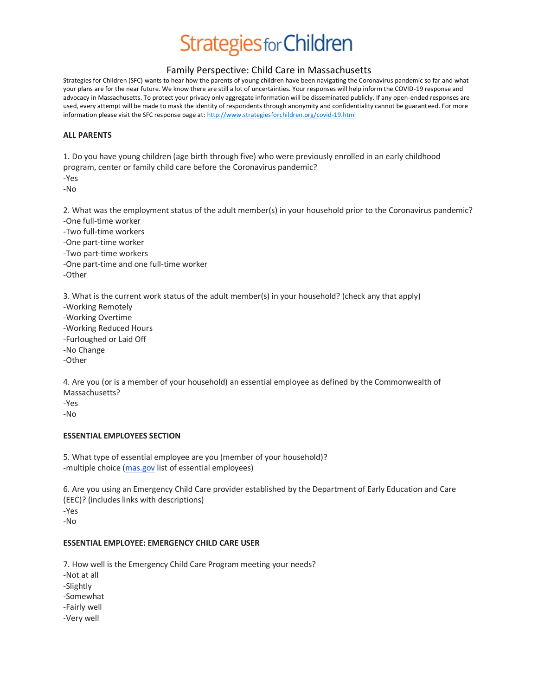## Family Perspective: Child Care in Massachusetts

Strategies for Children (SFC) wants to hear how the parents of young children have been navigating the Coronavirus pandemic so far and what your plans are for the near future. We know there are still a lot of uncertainties. Your responses will help inform the COVID-19 response and advocacy in Massachusetts. To protect your privacy only aggregate information will be disseminated publicly. If any open-ended responses are used, every attempt will be made to mask the identity of respondents through anonymity and confidentiality cannot be guaranteed. For more information please visit the SFC response page at[: http://www.strategiesforchildren.org/covid-19.html](http://www.strategiesforchildren.org/covid-19.html)

#### **ALL PARENTS**

1. Do you have young children (age birth through five) who were previously enrolled in an early childhood program, center or family child care before the Coronavirus pandemic?

-Yes -No

2. What was the employment status of the adult member(s) in your household prior to the Coronavirus pandemic? -One full-time worker

-Two full-time workers -One part-time worker -Two part-time workers -One part-time and one full-time worker

-Other

3. What is the current work status of the adult member(s) in your household? (check any that apply) -Working Remotely -Working Overtime -Working Reduced Hours -Furloughed or Laid Off -No Change -Other

4. Are you (or is a member of your household) an essential employee as defined by the Commonwealth of Massachusetts?

-Yes

-No

### **ESSENTIAL EMPLOYEES SECTION**

5. What type of essential employee are you (member of your household)? -multiple choice [\(mas.gov](https://office.strategiesforchildren.org/owa/14.1.438.0/scripts/premium/redir.aspx?C=62c4574ae077438d894c0f6db991373f&URL=http%3a%2f%2fmas.gov%2f) list of essential employees)

6. Are you using an Emergency Child Care provider established by the Department of Early Education and Care (EEC)? (includes links with descriptions) -Yes -No

#### **ESSENTIAL EMPLOYEE: EMERGENCY CHILD CARE USER**

7. How well is the Emergency Child Care Program meeting your needs?

- -Not at all
- -Slightly
- -Somewhat
- -Fairly well
- -Very well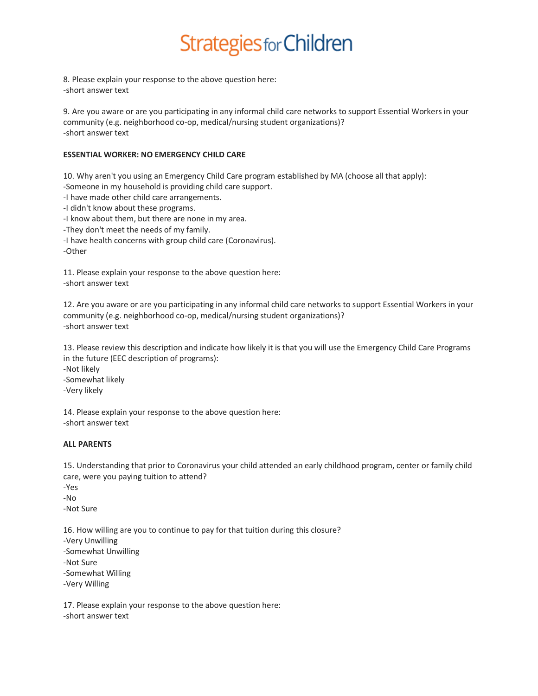8. Please explain your response to the above question here: -short answer text

9. Are you aware or are you participating in any informal child care networks to support Essential Workers in your community (e.g. neighborhood co-op, medical/nursing student organizations)? -short answer text

#### **ESSENTIAL WORKER: NO EMERGENCY CHILD CARE**

10. Why aren't you using an Emergency Child Care program established by MA (choose all that apply): -Someone in my household is providing child care support.

-I have made other child care arrangements.

-I didn't know about these programs.

-I know about them, but there are none in my area.

-They don't meet the needs of my family.

-I have health concerns with group child care (Coronavirus).

-Other

11. Please explain your response to the above question here: -short answer text

12. Are you aware or are you participating in any informal child care networks to support Essential Workers in your community (e.g. neighborhood co-op, medical/nursing student organizations)? -short answer text

13. Please review this description and indicate how likely it is that you will use the Emergency Child Care Programs in the future (EEC description of programs): -Not likely

-Somewhat likely

-Very likely

14. Please explain your response to the above question here: -short answer text

#### **ALL PARENTS**

15. Understanding that prior to Coronavirus your child attended an early childhood program, center or family child care, were you paying tuition to attend?

-Yes -No

-Not Sure

16. How willing are you to continue to pay for that tuition during this closure? -Very Unwilling -Somewhat Unwilling -Not Sure -Somewhat Willing -Very Willing

17. Please explain your response to the above question here: -short answer text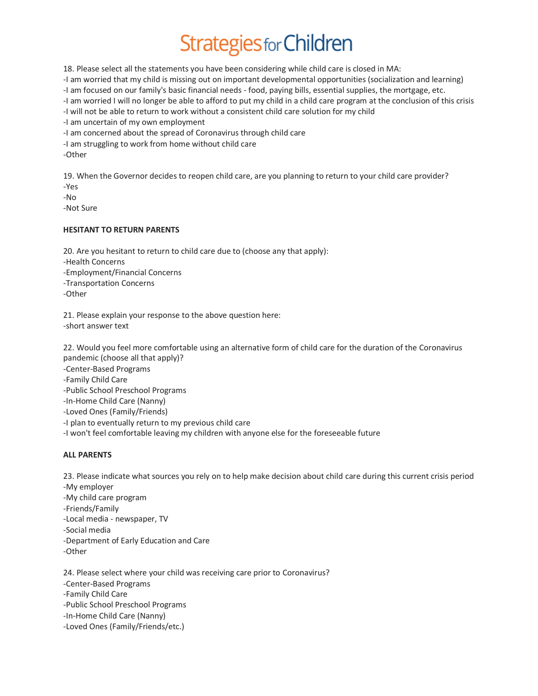18. Please select all the statements you have been considering while child care is closed in MA:

-I am worried that my child is missing out on important developmental opportunities (socialization and learning)

-I am focused on our family's basic financial needs - food, paying bills, essential supplies, the mortgage, etc.

-I am worried I will no longer be able to afford to put my child in a child care program at the conclusion of this crisis -I will not be able to return to work without a consistent child care solution for my child

-I am uncertain of my own employment

-I am concerned about the spread of Coronavirus through child care

-I am struggling to work from home without child care

-Other

19. When the Governor decides to reopen child care, are you planning to return to your child care provider? -Yes

-No

-Not Sure

#### **HESITANT TO RETURN PARENTS**

20. Are you hesitant to return to child care due to (choose any that apply): -Health Concerns -Employment/Financial Concerns -Transportation Concerns -Other

21. Please explain your response to the above question here: -short answer text

22. Would you feel more comfortable using an alternative form of child care for the duration of the Coronavirus pandemic (choose all that apply)?

-Center-Based Programs

-Family Child Care

-Public School Preschool Programs

-In-Home Child Care (Nanny)

-Loved Ones (Family/Friends)

-I plan to eventually return to my previous child care

-I won't feel comfortable leaving my children with anyone else for the foreseeable future

### **ALL PARENTS**

23. Please indicate what sources you rely on to help make decision about child care during this current crisis period -My employer

-My child care program

-Friends/Family

-Local media - newspaper, TV

-Social media

-Department of Early Education and Care

-Other

24. Please select where your child was receiving care prior to Coronavirus? -Center-Based Programs -Family Child Care -Public School Preschool Programs -In-Home Child Care (Nanny) -Loved Ones (Family/Friends/etc.)